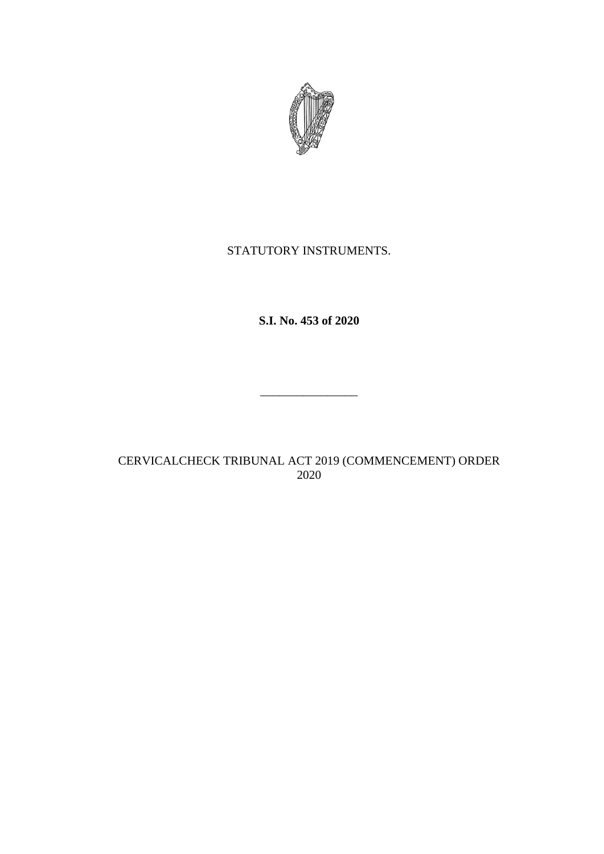

# STATUTORY INSTRUMENTS.

**S.I. No. 453 of 2020**

\_\_\_\_\_\_\_\_\_\_\_\_\_\_\_\_

CERVICALCHECK TRIBUNAL ACT 2019 (COMMENCEMENT) ORDER 2020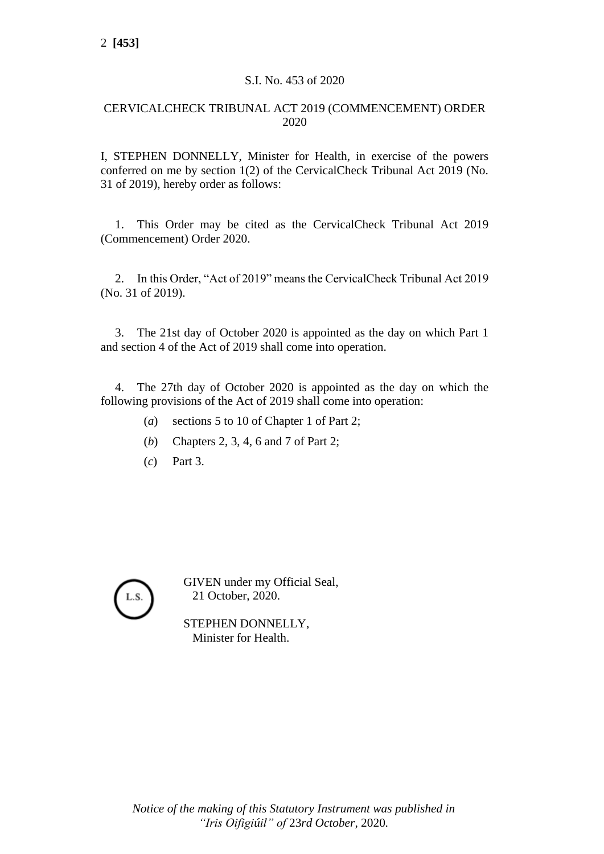## S.I. No. 453 of 2020

## CERVICALCHECK TRIBUNAL ACT 2019 (COMMENCEMENT) ORDER 2020

I, STEPHEN DONNELLY, Minister for Health, in exercise of the powers conferred on me by section 1(2) of the CervicalCheck Tribunal Act 2019 (No. 31 of 2019), hereby order as follows:

1. This Order may be cited as the CervicalCheck Tribunal Act 2019 (Commencement) Order 2020.

2. In this Order, "Act of 2019" means the CervicalCheck Tribunal Act 2019 (No. 31 of 2019).

3. The 21st day of October 2020 is appointed as the day on which Part 1 and section 4 of the Act of 2019 shall come into operation.

4. The 27th day of October 2020 is appointed as the day on which the following provisions of the Act of 2019 shall come into operation:

- (*a*) sections 5 to 10 of Chapter 1 of Part 2;
- (*b*) Chapters 2, 3, 4, 6 and 7 of Part 2;
- (*c*) Part 3.



GIVEN under my Official Seal, 21 October, 2020.

STEPHEN DONNELLY, Minister for Health.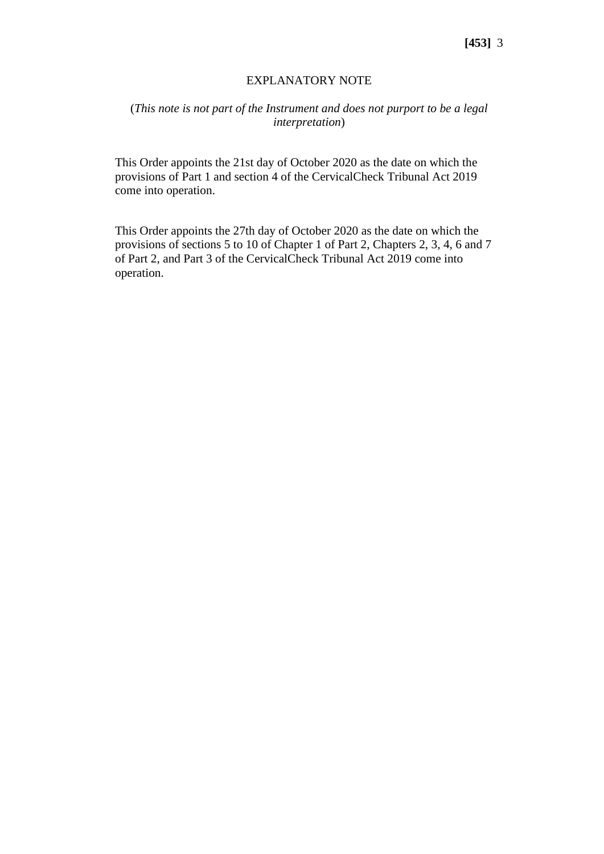#### EXPLANATORY NOTE

### (*This note is not part of the Instrument and does not purport to be a legal interpretation*)

This Order appoints the 21st day of October 2020 as the date on which the provisions of Part 1 and section 4 of the CervicalCheck Tribunal Act 2019 come into operation.

This Order appoints the 27th day of October 2020 as the date on which the provisions of sections 5 to 10 of Chapter 1 of Part 2, Chapters 2, 3, 4, 6 and 7 of Part 2, and Part 3 of the CervicalCheck Tribunal Act 2019 come into operation.